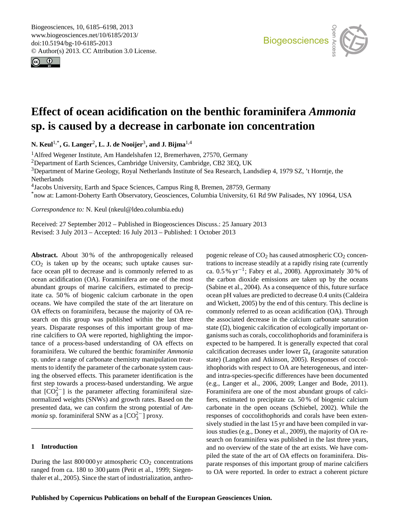<span id="page-0-0"></span>Biogeosciences, 10, 6185–6198, 2013 www.biogeosciences.net/10/6185/2013/ doi:10.5194/bg-10-6185-2013 © Author(s) 2013. CC Attribution 3.0 License.





# **Effect of ocean acidification on the benthic foraminifera** *Ammonia* **sp. is caused by a decrease in carbonate ion concentration**

**N. Keul**1,\***, G. Langer**<sup>2</sup> **, L. J. de Nooijer**<sup>3</sup> **, and J. Bijma**1,4

<sup>1</sup> Alfred Wegener Institute, Am Handelshafen 12, Bremerhaven, 27570, Germany

<sup>2</sup>Department of Earth Sciences, Cambridge University, Cambridge, CB2 3EQ, UK

<sup>3</sup>Department of Marine Geology, Royal Netherlands Institute of Sea Research, Landsdiep 4, 1979 SZ, 't Horntje, the Netherlands

4 Jacobs University, Earth and Space Sciences, Campus Ring 8, Bremen, 28759, Germany

\*now at: Lamont-Doherty Earth Observatory, Geosciences, Columbia University, 61 Rd 9W Palisades, NY 10964, USA

*Correspondence to:* N. Keul (nkeul@ldeo.columbia.edu)

Received: 27 September 2012 – Published in Biogeosciences Discuss.: 25 January 2013 Revised: 3 July 2013 – Accepted: 16 July 2013 – Published: 1 October 2013

**Abstract.** About 30 % of the anthropogenically released  $CO<sub>2</sub>$  is taken up by the oceans; such uptake causes surface ocean pH to decrease and is commonly referred to as ocean acidification (OA). Foraminifera are one of the most abundant groups of marine calcifiers, estimated to precipitate ca. 50 % of biogenic calcium carbonate in the open oceans. We have compiled the state of the art literature on OA effects on foraminifera, because the majority of OA research on this group was published within the last three years. Disparate responses of this important group of marine calcifiers to OA were reported, highlighting the importance of a process-based understanding of OA effects on foraminifera. We cultured the benthic foraminifer *Ammonia* sp. under a range of carbonate chemistry manipulation treatments to identify the parameter of the carbonate system causing the observed effects. This parameter identification is the first step towards a process-based understanding. We argue that  $[CO_3^{2-}]$  is the parameter affecting foraminiferal sizenormalized weights (SNWs) and growth rates. Based on the presented data, we can confirm the strong potential of *Ammonia* sp. foraminiferal SNW as a [CO<sub>3</sub><sup>−</sup>] proxy.

### **1 Introduction**

During the last  $800\,000$  yr atmospheric  $CO<sub>2</sub>$  concentrations ranged from ca. 180 to 300 µatm [\(Petit et al.,](#page-12-0) [1999;](#page-12-0) [Siegen](#page-12-1)[thaler et al.,](#page-12-1) [2005\)](#page-12-1). Since the start of industrialization, anthropogenic release of  $CO<sub>2</sub>$  has caused atmospheric  $CO<sub>2</sub>$  concentrations to increase steadily at a rapidly rising rate (currently ca. 0.5 % yr−<sup>1</sup> ; [Fabry et al.,](#page-11-0) [2008\)](#page-11-0). Approximately 30 % of the carbon dioxide emissions are taken up by the oceans [\(Sabine et al.,](#page-12-2) [2004\)](#page-12-2). As a consequence of this, future surface ocean pH values are predicted to decrease 0.4 units [\(Caldeira](#page-11-1) [and Wickett,](#page-11-1) [2005\)](#page-11-1) by the end of this century. This decline is commonly referred to as ocean acidification (OA). Through the associated decrease in the calcium carbonate saturation state  $(\Omega)$ , biogenic calcification of ecologically important organisms such as corals, coccolithophorids and foraminifera is expected to be hampered. It is generally expected that coral calcification decreases under lower  $\Omega_a$  (aragonite saturation state) [\(Langdon and Atkinson,](#page-12-3) [2005\)](#page-12-3). Responses of coccolithophorids with respect to OA are heterogeneous, and interand intra-species-specific differences have been documented (e.g., [Langer et al.,](#page-12-4) [2006,](#page-12-4) [2009;](#page-12-5) [Langer and Bode,](#page-12-6) [2011\)](#page-12-6). Foraminifera are one of the most abundant groups of calcifiers, estimated to precipitate ca. 50 % of biogenic calcium carbonate in the open oceans [\(Schiebel,](#page-12-7) [2002\)](#page-12-7). While the responses of coccolithophorids and corals have been extensively studied in the last 15 yr and have been compiled in various studies (e.g., [Doney et al.,](#page-11-2) [2009\)](#page-11-2), the majority of OA research on foraminifera was published in the last three years, and no overview of the state of the art exists. We have compiled the state of the art of OA effects on foraminifera. Disparate responses of this important group of marine calcifiers to OA were reported. In order to extract a coherent picture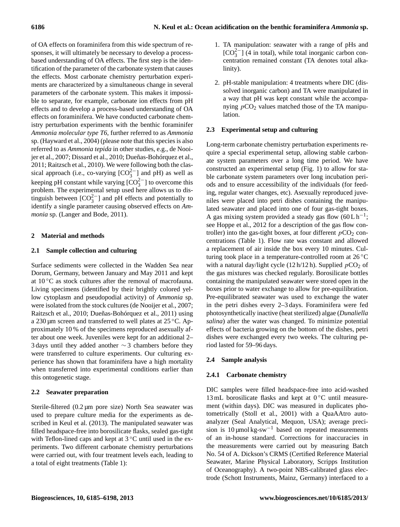of OA effects on foraminifera from this wide spectrum of responses, it will ultimately be necessary to develop a processbased understanding of OA effects. The first step is the identification of the parameter of the carbonate system that causes the effects. Most carbonate chemistry perturbation experiments are characterized by a simultaneous change in several parameters of the carbonate system. This makes it impossible to separate, for example, carbonate ion effects from pH effects and to develop a process-based understanding of OA effects on foraminifera. We have conducted carbonate chemistry perturbation experiments with the benthic foraminifer *Ammonia molecular type T6*, further referred to as *Ammonia* sp. [\(Hayward et al.,](#page-11-3) [2004\)](#page-11-3) (please note that this species is also referred to as *Ammonia tepida* in other studies, e.g., [de Nooi](#page-11-4)[jer et al.,](#page-11-4) [2007;](#page-11-4) [Dissard et al.,](#page-11-5) [2010;](#page-11-5) [Dueñas-Bohórquez et al.,](#page-11-6) [2011;](#page-11-6) [Raitzsch et al.,](#page-12-8) [2010\)](#page-12-8). We were following both the classical approach (i.e., co-varying  $[CO_3^{2-}]$  and pH) as well as keeping pH constant while varying  $[CO_3^{2-}]$  to overcome this problem. The experimental setup used here allows us to distinguish between  $[CO_3^{2-}]$  and pH effects and potentially to identify a single parameter causing observed effects on *Ammonia* sp. [\(Langer and Bode,](#page-12-6) [2011\)](#page-12-6).

# **2 Material and methods**

# **2.1 Sample collection and culturing**

Surface sediments were collected in the Wadden Sea near Dorum, Germany, between January and May 2011 and kept at  $10\degree C$  as stock cultures after the removal of macrofauna. Living specimens (identified by their brightly colored yellow cytoplasm and pseudopodial activity) of *Ammonia* sp. were isolated from the stock cultures [\(de Nooijer et al.,](#page-11-4) [2007;](#page-11-4) [Raitzsch et al.,](#page-12-8) [2010;](#page-12-8) [Dueñas-Bohórquez et al.,](#page-11-6) [2011\)](#page-11-6) using a 230 µm screen and transferred to well plates at 25 ◦C. Approximately 10 % of the specimens reproduced asexually after about one week. Juveniles were kept for an additional 2– 3 days until they added another  $\sim$  3 chambers before they were transferred to culture experiments. Our culturing experience has shown that foraminifera have a high mortality when transferred into experimental conditions earlier than this ontogenetic stage.

# **2.2 Seawater preparation**

Sterile-filtered (0.2 µm pore size) North Sea seawater was used to prepare culture media for the experiments as described in [Keul et al.](#page-12-9) [\(2013\)](#page-12-9). The manipulated seawater was filled headspace-free into borosilicate flasks, sealed gas-tight with Teflon-lined caps and kept at  $3^{\circ}$ C until used in the experiments. Two different carbonate chemistry perturbations were carried out, with four treatment levels each, leading to a total of eight treatments (Table 1):

- 1. TA manipulation: seawater with a range of pHs and  $[CO<sub>3</sub><sup>2</sup>$  (4 in total), while total inorganic carbon concentration remained constant (TA denotes total alkalinity).
- 2. pH-stable manipulation: 4 treatments where DIC (dissolved inorganic carbon) and TA were manipulated in a way that pH was kept constant while the accompanying  $pCO<sub>2</sub>$  values matched those of the TA manipulation.

# **2.3 Experimental setup and culturing**

Long-term carbonate chemistry perturbation experiments require a special experimental setup, allowing stable carbonate system parameters over a long time period. We have constructed an experimental setup (Fig. [1\)](#page-2-0) to allow for stable carbonate system parameters over long incubation periods and to ensure accessibility of the individuals (for feeding, regular water changes, etc). Asexually reproduced juveniles were placed into petri dishes containing the manipulated seawater and placed into one of four gas-tight boxes. A gas mixing system provided a steady gas flow  $(60L h^{-1})$ ; see [Hoppe et al.,](#page-12-10) [2012](#page-12-10) for a description of the gas flow controller) into the gas-tight boxes, at four different  $pCO_2$  concentrations (Table 1). Flow rate was constant and allowed a replacement of air inside the box every 10 minutes. Culturing took place in a temperature-controlled room at 26 ◦C with a natural day/light cycle (12 h/12 h). Supplied  $pCO_2$  of the gas mixtures was checked regularly. Borosilicate bottles containing the manipulated seawater were stored open in the boxes prior to water exchange to allow for pre-equilibration. Pre-equilibrated seawater was used to exchange the water in the petri dishes every 2–3 days. Foraminifera were fed photosynthetically inactive (heat sterilized) algae (*Dunaliella salina*) after the water was changed. To minimize potential effects of bacteria growing on the bottom of the dishes, petri dishes were exchanged every two weeks. The culturing period lasted for 59–96 days.

# **2.4 Sample analysis**

# **2.4.1 Carbonate chemistry**

DIC samples were filled headspace-free into acid-washed 13 mL borosilicate flasks and kept at  $0^{\circ}$ C until measurement (within days). DIC was measured in duplicates photometrically [\(Stoll et al.,](#page-12-11) [2001\)](#page-12-11) with a QuaAAtro autoanalyzer (Seal Analytical, Mequon, USA); average precision is  $10 \mu$ mol kg-sw<sup>-1</sup> based on repeated measurements of an in-house standard. Corrections for inaccuracies in the measurements were carried out by measuring Batch No. 54 of A. Dickson's CRMS (Certified Reference Material Seawater, Marine Physical Laboratory, Scripps Institution of Oceanography). A two-point NBS-calibrated glass electrode (Schott Instruments, Mainz, Germany) interfaced to a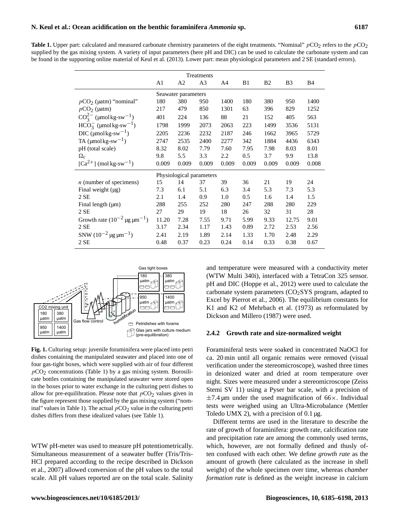**Table 1.** Upper part: calculated and measured carbonate chemistry parameters of the eight treatments. "Nominal"  $pCO_2$  refers to the  $pCO_2$ supplied by the gas mixing system. A variety of input parameters (here pH and DIC) can be used to calculate the carbonate system and can be found in the supporting online material of Keul et al. (2013). Lower part: mean physiological parameters and 2 SE (standard errors).

| Treatments                                          |                |                     |                          |       |       |                |                |       |
|-----------------------------------------------------|----------------|---------------------|--------------------------|-------|-------|----------------|----------------|-------|
|                                                     | A <sub>1</sub> | A <sub>2</sub>      | A <sub>3</sub>           | A4    | B1    | B <sub>2</sub> | B <sub>3</sub> | B4    |
|                                                     |                | Seawater parameters |                          |       |       |                |                |       |
| $pCO2$ (µatm) "nominal"                             | 180            | 380                 | 950                      | 1400  | 180   | 380            | 950            | 1400  |
| $pCO2$ (µatm)                                       | 217            | 479                 | 850                      | 1301  | 63    | 396            | 829            | 1252  |
| $CO_3^{2-}$ (µmolkg-sw <sup>-1</sup> )              | 401            | 224                 | 136                      | 88    | 21    | 152            | 405            | 563   |
| $HCO_3^-$ (µmol kg-sw <sup>-1</sup> )               | 1798           | 1999                | 2073                     | 2063  | 223   | 1499           | 3536           | 5131  |
| $DIC$ (µmol kg-sw <sup>-1</sup> )                   | 2205           | 2236                | 2232                     | 2187  | 246   | 1662           | 3965           | 5729  |
| TA ( $\mu$ molkg-sw <sup>-1</sup> )                 | 2747           | 2535                | 2400                     | 2277  | 342   | 1884           | 4436           | 6343  |
| pH (total scale)                                    | 8.32           | 8.02                | 7.79                     | 7.60  | 7.95  | 7.98           | 8.03           | 8.01  |
| $\Omega_{\rm c}$                                    | 9.8            | 5.5                 | 3.3                      | 2.2   | 0.5   | 3.7            | 9.9            | 13.8  |
| $\lceil Ca^{2+} \rceil$ (mol kg-sw <sup>-1</sup> )  | 0.009          | 0.009               | 0.009                    | 0.009 | 0.009 | 0.009          | 0.009          | 0.008 |
|                                                     |                |                     | Physiological parameters |       |       |                |                |       |
| $n$ (number of specimens)                           | 15             | 14                  | 37                       | 39    | 36    | 21             | 19             | 24    |
| Final weight $(\mu g)$                              | 7.3            | 6.1                 | 5.1                      | 6.3   | 3.4   | 5.3            | 7.3            | 5.3   |
| 2SE                                                 | 2.1            | 1.4                 | 0.9                      | 1.0   | 0.5   | 1.6            | 1.4            | 1.5   |
| Final length $(\mu m)$                              | 288            | 255                 | 252                      | 280   | 247   | 288            | 280            | 229   |
| 2SE                                                 | 27             | 29                  | 19                       | 18    | 26    | 32             | 31             | 28    |
| Growth rate $(10^{-2} \,\text{µg}\,\text{µm}^{-1})$ | 11.20          | 7.28                | 7.55                     | 9.71  | 5.99  | 9.33           | 12.75          | 9.01  |
| 2SE                                                 | 3.17           | 2.34                | 1.17                     | 1.43  | 0.89  | 2.72           | 2.53           | 2.56  |
| SNW $(10^{-2} \,\text{µg}\,\text{µm}^{-1})$         | 2.41           | 2.19                | 1.89                     | 2.14  | 1.33  | 1.70           | 2.48           | 2.29  |
| 2SE                                                 | 0.48           | 0.37                | 0.23                     | 0.24  | 0.14  | 0.33           | 0.38           | 0.67  |



<span id="page-2-0"></span>**Fig. 1.** Culturing setup: juvenile foraminifera were placed into petri dishes containing the manipulated seawater and placed into one of four gas-tight boxes, which were supplied with air of four different  $pCO<sub>2</sub>$  concentrations (Table 1) by a gas mixing system. Borosilicate bottles containing the manipulated seawater were stored open in the boxes prior to water exchange in the culturing petri dishes to allow for pre-equilibration. Please note that  $pCO<sub>2</sub>$  values given in the figure represent those supplied by the gas mixing system ("nominal" values in Table 1). The actual  $pCO<sub>2</sub>$  value in the culturing petri dishes differs from these idealized values (see Table 1).

WTW pH-meter was used to measure pH potentiometrically. Simultaneous measurement of a seawater buffer (Tris/Tris-HCl prepared according to the recipe described in [Dickson](#page-11-7) [et al.,](#page-11-7) [2007\)](#page-11-7) allowed conversion of the pH values to the total scale. All pH values reported are on the total scale. Salinity

and temperature were measured with a conductivity meter (WTW Multi 340i), interfaced with a TetraCon 325 sensor. pH and DIC [\(Hoppe et al.,](#page-12-10) [2012\)](#page-12-10) were used to calculate the carbonate system parameters  $(CO<sub>2</sub>SYS$  program, adapted to Excel by [Pierrot et al.,](#page-12-12) [2006\)](#page-12-12). The equilibrium constants for K1 and K2 of [Mehrbach et al.](#page-12-13) [\(1973\)](#page-12-13) as reformulated by [Dickson and Millero](#page-11-8) [\(1987\)](#page-11-8) were used.

#### **2.4.2 Growth rate and size-normalized weight**

Foraminiferal tests were soaked in concentrated NaOCl for ca. 20 min until all organic remains were removed (visual verification under the stereomicroscope), washed three times in deionized water and dried at room temperature over night. Sizes were measured under a stereomicroscope (Zeiss Stemi SV 11) using a Pyser bar scale, with a precision of  $\pm$ 7.4 µm under the used magnification of 66 $\times$ . Individual tests were weighed using an Ultra-Microbalance (Mettler Toledo UMX 2), with a precision of  $0.1 \mu$ g.

Different terms are used in the literature to describe the rate of growth of foraminifera: growth rate, calcification rate and precipitation rate are among the commonly used terms, which, however, are not formally defined and thusly often confused with each other. We define *growth rate* as the amount of growth (here calculated as the increase in shell weight) of the whole specimen over time, whereas *chamber formation rate* is defined as the weight increase in calcium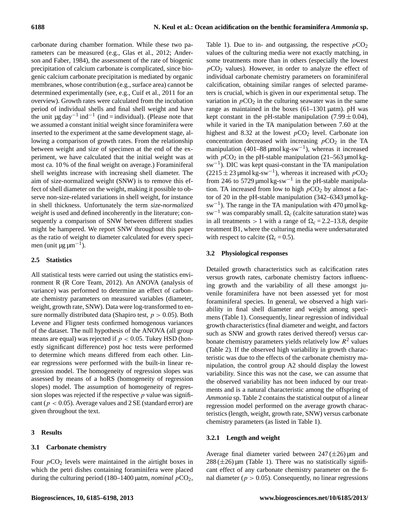carbonate during chamber formation. While these two parameters can be measured (e.g., [Glas et al.,](#page-11-9) [2012;](#page-11-9) [Ander](#page-11-10)[son and Faber,](#page-11-10) [1984\)](#page-11-10), the assessment of the rate of biogenic precipitation of calcium carbonate is complicated, since biogenic calcium carbonate precipitation is mediated by organic membranes, whose contribution (e.g., surface area) cannot be determined experimentally (see, e.g., [Cuif et al.,](#page-11-11) [2011](#page-11-11) for an overview). Growth rates were calculated from the incubation period of individual shells and final shell weight and have the unit  $\mu$ g day<sup>-1</sup> ind<sup>-1</sup> (ind = individual). (Please note that we assumed a constant initial weight since foraminifera were inserted to the experiment at the same development stage, allowing a comparison of growth rates. From the relationship between weight and size of specimen at the end of the experiment, we have calculated that the initial weight was at most ca. 10 % of the final weight on average.) Foraminiferal shell weights increase with increasing shell diameter. The aim of size-normalized weight (SNW) is to remove this effect of shell diameter on the weight, making it possible to observe non-size-related variations in shell weight, for instance in shell thickness. Unfortunately the term *size-normalized weight* is used and defined incoherently in the literature; consequently a comparison of SNW between different studies might be hampered. We report SNW throughout this paper as the ratio of weight to diameter calculated for every specimen (unit µg  $\mu$ m<sup>-1</sup>).

# **2.5 Statistics**

All statistical tests were carried out using the statistics environment R [\(R Core Team,](#page-12-14) [2012\)](#page-12-14). An ANOVA (analysis of variance) was performed to determine an effect of carbonate chemistry parameters on measured variables (diameter, weight, growth rate, SNW). Data were log-transformed to ensure normally distributed data (Shapiro test,  $p > 0.05$ ). Both Levene and Fligner tests confirmed homogenous variances of the dataset. The null hypothesis of the ANOVA (all group means are equal) was rejected if  $p < 0.05$ . Tukey HSD (honestly significant difference) post hoc tests were performed to determine which means differed from each other. Linear regressions were performed with the built-in linear regression model. The homogeneity of regression slopes was assessed by means of a hoRS (homogeneity of regression slopes) model. The assumption of homogeneity of regression slopes was rejected if the respective  $p$  value was significant ( $p < 0.05$ ). Average values and 2 SE (standard error) are given throughout the text.

# **3 Results**

# **3.1 Carbonate chemistry**

Four  $pCO<sub>2</sub>$  levels were maintained in the airtight boxes in which the petri dishes containing foraminifera were placed during the culturing period (180–1400 µatm, *nominal* pCO2, Table 1). Due to in- and outgassing, the respective  $pCO<sub>2</sub>$ values of the culturing media were not exactly matching, in some treatments more than in others (especially the lowest  $pCO<sub>2</sub>$  values). However, in order to analyze the effect of individual carbonate chemistry parameters on foraminiferal calcification, obtaining similar ranges of selected parameters is crucial, which is given in our experimental setup. The variation in  $pCO<sub>2</sub>$  in the culturing seawater was in the same range as maintained in the boxes  $(61-1301 \mu atm)$ . pH was kept constant in the pH-stable manipulation  $(7.99 \pm 0.04)$ , while it varied in the TA manipulation between 7.60 at the highest and 8.32 at the lowest  $pCO<sub>2</sub>$  level. Carbonate ion concentration decreased with increasing  $pCO<sub>2</sub>$  in the TA manipulation  $(401-88 \,\mathrm{\mu mol\,kg\text{-}sw^{-1}})$ , whereas it increased with  $pCO_2$  in the pH-stable manipulation (21–563 µmol kgsw−<sup>1</sup> ). DIC was kept quasi-constant in the TA manipulation  $(2215 \pm 23 \,\text{\mu} \text{mol}\,\text{kg-sw}^{-1})$ , whereas it increased with  $pCO_2$ from 246 to 5729 µmol  $kg$ -sw<sup>-1</sup> in the pH-stable manipulation. TA increased from low to high  $pCO<sub>2</sub>$  by almost a factor of 20 in the pH-stable manipulation (342–6343 µmol kgsw−<sup>1</sup> ). The range in the TA manipulation with 470 µmol kgsw<sup>-1</sup> was comparably small.  $\Omega_c$  (calcite saturation state) was in all treatments  $> 1$  with a range of  $\Omega_c = 2.2 - 13.8$ , despite treatment B1, where the culturing media were undersaturated with respect to calcite ( $\Omega_c = 0.5$ ).

# **3.2 Physiological responses**

Detailed growth characteristics such as calcification rates versus growth rates, carbonate chemistry factors influencing growth and the variability of all these amongst juvenile foraminifera have not been assessed yet for most foraminiferal species. In general, we observed a high variability in final shell diameter and weight among specimens (Table 1). Consequently, linear regression of individual growth characteristics (final diameter and weight, and factors such as SNW and growth rates derived thereof) versus carbonate chemistry parameters yields relatively low  $R^2$  values (Table 2). If the observed high variability in growth characteristic was due to the effects of the carbonate chemistry manipulation, the control group A2 should display the lowest variability. Since this was not the case, we can assume that the observed variability has not been induced by our treatments and is a natural characteristic among the offspring of *Ammonia* sp. Table 2 contains the statistical output of a linear regression model performed on the average growth characteristics (length, weight, growth rate, SNW) versus carbonate chemistry parameters (as listed in Table 1).

# **3.2.1 Length and weight**

Average final diameter varied between  $247 (\pm 26)$  µm and  $288 (\pm 26)$  µm (Table 1). There was no statistically significant effect of any carbonate chemistry parameter on the final diameter ( $p > 0.05$ ). Consequently, no linear regressions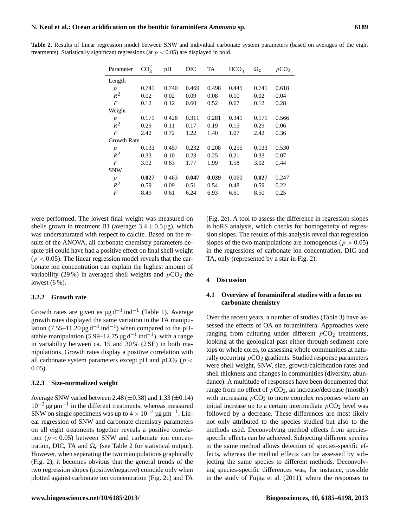|  |                                                                                            |  |  |  | Table 2. Results of linear regression model between SNW and individual carbonate system parameters (based on averages of the eight |  |  |  |
|--|--------------------------------------------------------------------------------------------|--|--|--|------------------------------------------------------------------------------------------------------------------------------------|--|--|--|
|  | treatments). Statistically significant regressions (at $p < 0.05$ ) are displayed in bold. |  |  |  |                                                                                                                                    |  |  |  |

| Parameter          | $CO_3^{2-}$ | pH    | DIC   | TA    | HCO <sub>3</sub> | $\Omega_{\rm c}$ | pCO <sub>2</sub> |
|--------------------|-------------|-------|-------|-------|------------------|------------------|------------------|
| Length             |             |       |       |       |                  |                  |                  |
| $\boldsymbol{p}$   | 0.741       | 0.740 | 0.469 | 0.498 | 0.445            | 0.741            | 0.618            |
| $R^2$              | 0.02        | 0.02  | 0.09  | 0.08  | 0.10             | 0.02             | 0.04             |
| F                  | 0.12        | 0.12  | 0.60  | 0.52  | 0.67             | 0.12             | 0.28             |
| Weight             |             |       |       |       |                  |                  |                  |
| $\boldsymbol{p}$   | 0.171       | 0.428 | 0.311 | 0.281 | 0.341            | 0.171            | 0.566            |
| $R^2$              | 0.29        | 0.11  | 0.17  | 0.19  | 0.15             | 0.29             | 0.06             |
| $\boldsymbol{F}$   | 2.42        | 0.72  | 1.22  | 1.40  | 1.07             | 2.42             | 0.36             |
| <b>Growth Rate</b> |             |       |       |       |                  |                  |                  |
| $\boldsymbol{p}$   | 0.133       | 0.457 | 0.232 | 0.208 | 0.255            | 0.133            | 0.530            |
| $R^2$              | 0.33        | 0.10  | 0.23  | 0.25  | 0.21             | 0.33             | 0.07             |
| F                  | 3.02        | 0.63  | 1.77  | 1.99  | 1.58             | 3.02             | 0.44             |
| <b>SNW</b>         |             |       |       |       |                  |                  |                  |
| $\boldsymbol{p}$   | 0.027       | 0.463 | 0.047 | 0.039 | 0.060            | 0.027            | 0.247            |
| $R^2$              | 0.59        | 0.09  | 0.51  | 0.54  | 0.48             | 0.59             | 0.22             |
| $\overline{F}$     | 8.49        | 0.61  | 6.24  | 6.93  | 6.61             | 8.50             | 0.25             |

were performed. The lowest final weight was measured on shells grown in treatment B1 (average:  $3.4 \pm 0.5 \,\mu$ g), which was undersaturated with respect to calcite. Based on the results of the ANOVA, all carbonate chemistry parameters despite pH could have had a positive effect on final shell weight  $(p < 0.05)$ . The linear regression model reveals that the carbonate ion concentration can explain the highest amount of variability (29%) in averaged shell weights and  $pCO<sub>2</sub>$  the lowest  $(6\%)$ .

### **3.2.2 Growth rate**

Growth rates are given as  $\mu$ g d<sup>-1</sup> ind<sup>-1</sup> (Table 1). Average growth rates displayed the same variation in the TA manipulation (7.55–11.20 µg d<sup>-1</sup> ind<sup>-1</sup>) when compared to the pHstable manipulation (5.99–12.75 µg d<sup>-1</sup> ind<sup>-1</sup>), with a range in variability between ca. 15 and 30 % (2 SE) in both manipulations. Growth rates display a positive correlation with all carbonate system parameters except pH and  $pCO_2$  ( $p <$ 0.05).

#### **3.2.3 Size-normalized weight**

Average SNW varied between 2.48 ( $\pm$ 0.38) and 1.33 ( $\pm$ 0.14)  $10^{-2}$  µg  $\mu$ m<sup>-1</sup> in the different treatments, whereas measured SNW on single specimens was up to  $4 \times 10^{-2}$  µg  $\mu$ m<sup>-1</sup>. Linear regression of SNW and carbonate chemistry parameters on all eight treatments together reveals a positive correlation ( $p < 0.05$ ) between SNW and carbonate ion concentration, DIC, TA and  $\Omega_c$  (see Table 2 for statistical output). However, when separating the two manipulations graphically (Fig. [2\)](#page-5-0), it becomes obvious that the general trends of the two regression slopes (positive/negative) coincide only when plotted against carbonate ion concentration (Fig. 2c) and TA (Fig. 2e). A tool to assess the difference in regression slopes is hoRS analysis, which checks for homogeneity of regression slopes. The results of this analysis reveal that regression slopes of the two manipulations are homogenous ( $p > 0.05$ ) in the regressions of carbonate ion concentration, DIC and TA, only (represented by a star in Fig. [2\)](#page-5-0).

#### **4 Discussion**

# **4.1 Overview of foraminiferal studies with a focus on carbonate chemistry**

Over the recent years, a number of studies (Table 3) have assessed the effects of OA on foraminifera. Approaches were ranging from culturing under different  $pCO<sub>2</sub>$  treatments, looking at the geological past either through sediment core tops or whole cores, to assessing whole communities at naturally occurring  $pCO<sub>2</sub>$  gradients. Studied response parameters were shell weight, SNW, size, growth/calcification rates and shell thickness and changes in communities (diversity, abundance). A multitude of responses have been documented that range from no effect of  $pCO<sub>2</sub>$ , an increase/decrease (mostly) with increasing  $pCO<sub>2</sub>$  to more complex responses where an initial increase up to a certain intermediate  $pCO<sub>2</sub>$  level was followed by a decrease. These differences are most likely not only attributed to the species studied but also to the methods used. Deconvolving method effects from speciesspecific effects can be achieved. Subjecting different species to the same method allows detection of species-specific effects, whereas the method effects can be assessed by subjecting the same species to different methods. Deconvolving species-specific differences was, for instance, possible in the study of [Fujita et al.](#page-11-12) [\(2011\)](#page-11-12), where the responses to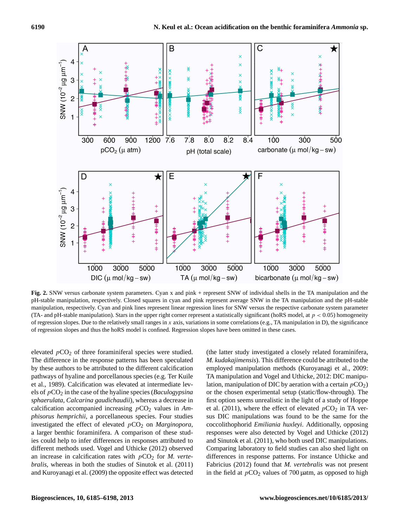

<span id="page-5-0"></span>**Fig. 2.** SNW versus carbonate system parameters. Cyan x and pink + represent SNW of individual shells in the TA manipulation and the pH-stable manipulation, respectively. Closed squares in cyan and pink represent average SNW in the TA manipulation and the pH-stable manipulation, respectively. Cyan and pink lines represent linear regression lines for SNW versus the respective carbonate system parameter (TA- and pH-stable manipulation). Stars in the upper right corner represent a statistically significant (hoRS model, at  $p < 0.05$ ) homogeneity of regression slopes. Due to the relatively small ranges in x axis, variations in some correlations (e.g., TA manipulation in D), the significance of regression slopes and thus the hoRS model is confined. Regression slopes have been omitted in these cases.

elevated  $pCO<sub>2</sub>$  of three foraminiferal species were studied. The difference in the response patterns has been speculated by these authors to be attributed to the different calcification pathways of hyaline and porcellanous species (e.g. [Ter Kuile](#page-13-0) [et al.,](#page-13-0) [1989\)](#page-13-0). Calcification was elevated at intermediate levels of pCO<sup>2</sup> in the case of the hyaline species (*Baculogypsina sphaerulata, Calcarina gaudichaudii*), whereas a decrease in calcification accompanied increasing  $pCO<sub>2</sub>$  values in Am*phisorus hemprichii*, a porcellaneous species. Four studies investigated the effect of elevated  $pCO<sub>2</sub>$  on *Marginopora*, a larger benthic foraminifera. A comparison of these studies could help to infer differences in responses attributed to different methods used. Vogel and Uthicke [\(2012\)](#page-13-1) observed an increase in calcification rates with  $pCO<sub>2</sub>$  for *M. vertebralis*, whereas in both the studies of [Sinutok et al.](#page-12-15) [\(2011\)](#page-12-15) and [Kuroyanagi et al.](#page-12-16) [\(2009\)](#page-12-16) the opposite effect was detected (the latter study investigated a closely related foraminifera, *M. kudakajimensis*). This difference could be attributed to the employed manipulation methods [\(Kuroyanagi et al.,](#page-12-16) [2009:](#page-12-16) TA manipulation and Vogel and Uthicke, [2012:](#page-13-1) DIC manipulation, manipulation of DIC by aeration with a certain  $pCO<sub>2</sub>$ ) or the chosen experimental setup (static/flow-through). The first option seems unrealistic in the light of a study of [Hoppe](#page-12-17) [et al.](#page-12-17) [\(2011\)](#page-12-17), where the effect of elevated  $pCO_2$  in TA versus DIC manipulations was found to be the same for the coccolithophorid *Emiliania huxleyi*. Additionally, opposing responses were also detected by Vogel and Uthicke (2012) and Sinutok et al. (2011), who both used DIC manipulations. Comparing laboratory to field studies can also shed light on differences in response patterns. For instance [Uthicke and](#page-13-2) [Fabricius](#page-13-2) [\(2012\)](#page-13-2) found that *M. vertebralis* was not present in the field at  $pCO<sub>2</sub>$  values of 700 µatm, as opposed to high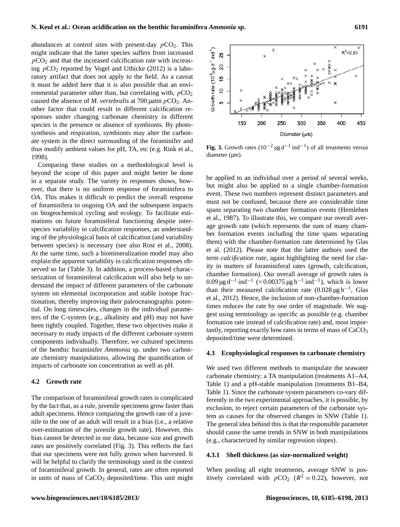abundances at control sites with present-day  $pCO<sub>2</sub>$ . This might indicate that the latter species suffers from increased  $pCO<sub>2</sub>$  and that the increased calcification rate with increasing  $pCO_2$  reported by [Vogel and Uthicke](#page-13-1) [\(2012\)](#page-13-1) is a laboratory artifact that does not apply to the field. As a caveat it must be added here that it is also possible that an environmental parameter other than, but correlating with,  $pCO<sub>2</sub>$ caused the absence of *M. vertebralis* at 700  $\mu$ atm  $pCO_2$ . Another factor that could result in different calcification responses under changing carbonate chemistry in different species is the presence or absence of symbionts. By photosynthesis and respiration, symbionts may alter the carbonate system in the direct surrounding of the foraminifer and thus modify ambient values for pH, TA, etc (e.g. [Rink et al.,](#page-12-18) [1998\)](#page-12-18).

Comparing these studies on a methodological level is beyond the scope of this paper and might better be done in a separate study. The variety in responses shows, however, that there is no uniform response of foraminifera to OA. This makes it difficult to predict the overall response of foraminifera to ongoing OA and the subsequent impacts on biogeochemical cycling and ecology. To facilitate estimations on future foraminiferal functioning despite interspecies variability in calcification responses, an understanding of the physiological basis of calcification (and variability between species) is necessary (see also [Rost et al.,](#page-12-19) [2008\)](#page-12-19). At the same time, such a biomineralization model may also explain the apparent variability in calcification responses observed so far (Table 3). In addition, a process-based characterization of foraminiferal calcification will also help to understand the impact of different parameters of the carbonate system on elemental incorporation and stable isotope fractionation, thereby improving their paleoceanographic potential. On long timescales, changes in the individual parameters of the C-system (e.g., alkalinity and pH) may not have been tightly coupled. Together, these two objectives make it necessary to study impacts of the different carbonate system components individually. Therefore, we cultured specimens of the benthic foraminifer *Ammonia* sp. under two carbonate chemistry manipulations, allowing the quantification of impacts of carbonate ion concentration as well as pH.

# **4.2 Growth rate**

The comparison of foraminiferal growth rates is complicated by the fact that, as a rule, juvenile specimens grow faster than adult specimens. Hence comparing the growth rate of a juvenile to the one of an adult will result in a bias (i.e., a relative over-estimation of the juvenile growth rate). However, this bias cannot be detected in our data, because size and growth rates are positively correlated (Fig. [3\)](#page-6-0). This reflects the fact that our specimens were not fully grown when harvested. It will be helpful to clarify the terminology used in the context of foraminiferal growth. In general, rates are often reported in units of mass of  $CaCO<sub>3</sub>$  deposited/time. This unit might



<span id="page-6-0"></span>**Fig. 3.** Growth rates  $(10^{-2} \mu g d^{-1} ind^{-1})$  of all treatments versus diameter (µm).

be applied to an individual over a period of several weeks, but might also be applied to a single chamber-formation event. These two numbers represent distinct parameters and must not be confused, because there are considerable time spans separating two chamber formation events [\(Hemleben](#page-11-13) [et al.,](#page-11-13) [1987\)](#page-11-13). To illustrate this, we compare our overall average growth rate (which represents the sum of many chamber formation events including the time spans separating them) with the chamber-formation rate determined by [Glas](#page-11-9) [et al.](#page-11-9) [\(2012\)](#page-11-9). Please note that the latter authors used the term *calcification rate*, again highlighting the need for clarity in matters of foraminiferal rates (growth, calcification, chamber formation). Our overall average of growth rates is 0.09 µg d<sup>-1</sup> ind<sup>-1</sup> (= 0.00375 µg h<sup>-1</sup> ind<sup>-1</sup>), which is lower than their measured calcification rate (0.028 μg h<sup>-1</sup>, [Glas](#page-11-9) [et al.,](#page-11-9) [2012\)](#page-11-9). Hence, the inclusion of non-chamber-formation times reduces the rate by one order of magnitude. We suggest using terminology as specific as possible (e.g. chamber formation rate instead of calcification rate) and, most importantly, reporting exactly how rates in terms of mass of  $CaCO<sub>3</sub>$ deposited/time were determined.

#### **4.3 Ecophysiological responses to carbonate chemistry**

We used two different methods to manipulate the seawater carbonate chemistry: a TA manipulation (treatments A1–A4, Table 1) and a pH-stable manipulation (treatments B1–B4, Table 1). Since the carbonate system parameters co-vary differently in the two experimental approaches, it is possible, by exclusion, to reject certain parameters of the carbonate system as causes for the observed changes in SNW (Table 1). The general idea behind this is that the responsible parameter should cause the same trends in SNW in both manipulations (e.g., characterized by similar regression slopes).

#### **4.3.1 Shell thickness (as size-normalized weight)**

When pooling all eight treatments, average SNW is positively correlated with  $pCO_2$  ( $R^2 = 0.22$ ), however, not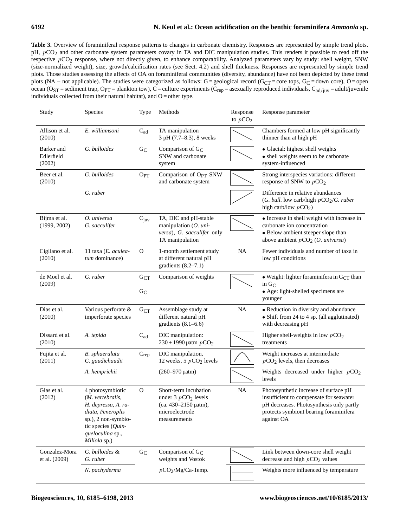# **6192 N. Keul et al.: Ocean acidification on the benthic foraminifera** *Ammonia* **sp.**

Table 3. Overview of foraminiferal response patterns to changes in carbonate chemistry. Responses are represented by simple trend plots. pH,  $pCO<sub>2</sub>$  and other carbonate system parameters covary in TA and DIC manipulation studies. This renders it possible to read off the respective pCO<sub>2</sub> response, where not directly given, to enhance comparability. Analyzed parameters vary by study: shell weight, SNW (size-normalized weight), size, growth/calcification rates (see Sect. 4.2) and shell thickness. Responses are represented by simple trend plots. Those studies assessing the affects of OA on foraminiferal communities (diversity, abundance) have not been depicted by these trend plots (NA – not applicable). The studies were categorized as follows:  $G =$  geological record ( $G_{CT} =$  core tops,  $G_C =$  down core),  $O =$  open ocean (O<sub>ST</sub> = sediment trap, O<sub>PT</sub> = plankton tow), C = culture experiments (C<sub>rep</sub> = asexually reproduced individuals, C<sub>ad/juv</sub> = adult/juvenile individuals collected from their natural habitat), and  $O =$  other type.

| Study                              | Species                                                                                                                                                           | Type                       | Methods                                                                                                         | Response<br>to $pCO2$ | Response parameter                                                                                                                                                                   |
|------------------------------------|-------------------------------------------------------------------------------------------------------------------------------------------------------------------|----------------------------|-----------------------------------------------------------------------------------------------------------------|-----------------------|--------------------------------------------------------------------------------------------------------------------------------------------------------------------------------------|
| Allison et al.<br>(2010)           | E. williamsoni                                                                                                                                                    | $\mathrm{C}_{\mathrm{ad}}$ | TA manipulation<br>3 pH (7.7-8.3), 8 weeks                                                                      |                       | Chambers formed at low pH significantly<br>thinner than at high pH                                                                                                                   |
| Barker and<br>Edlerfield<br>(2002) | G. bulloides                                                                                                                                                      | $G_{C}$                    | Comparison of $G_C$<br>SNW and carbonate<br>system                                                              |                       | · Glacial: highest shell weights<br>• shell weights seem to be carbonate<br>system-influenced                                                                                        |
| Beer et al.<br>(2010)              | G. bulloides                                                                                                                                                      | $O_{PT}$                   | Comparison of O <sub>PT</sub> SNW<br>and carbonate system                                                       |                       | Strong interspecies variations: different<br>response of SNW to $pCO2$                                                                                                               |
|                                    | G. ruber                                                                                                                                                          |                            |                                                                                                                 |                       | Difference in relative abundances<br>(G. bull. low carb/high $pCO2/G$ . ruber<br>high carb/low $pCO2$ )                                                                              |
| Bijma et al.<br>(1999, 2002)       | O. universa<br>G. sacculifer                                                                                                                                      | $C_{\text{juv}}$           | TA, DIC and pH-stable<br>manipulation $(O.$ uni-<br>versa), G. sacculifer only<br>TA manipulation               |                       | $\bullet$ Increase in shell weight with increase in<br>carbonate ion concentration<br>• Below ambient steeper slope than<br>above ambient $pCO2(O.$ universa)                        |
| Cigliano et al.<br>(2010)          | 11 taxa (E. aculea-<br>tum dominance)                                                                                                                             | 0                          | 1-month settlement study<br>at different natural pH<br>gradients $(8.2-7.1)$                                    | <b>NA</b>             | Fewer individuals and number of taxa in<br>low pH conditions                                                                                                                         |
| de Moel et al.<br>(2009)           | G. ruber                                                                                                                                                          | $\rm{G_{CT}}$<br>$G_{C}$   | Comparison of weights                                                                                           |                       | • Weight: lighter foraminifera in $G_{CT}$ than<br>in $G_C$<br>• Age: light-shelled specimens are<br>younger                                                                         |
| Dias et al.<br>(2010)              | Various perforate &<br>imperforate species                                                                                                                        | $G_{CT}$                   | Assemblage study at<br>different natural pH<br>gradients $(8.1-6.6)$                                            | <b>NA</b>             | • Reduction in diversity and abundance<br>• Shift from 24 to 4 sp. (all agglutinated)<br>with decreasing pH                                                                          |
| Dissard et al.<br>(2010)           | A. tepida                                                                                                                                                         | $C_{ad}$                   | DIC manipulation:<br>$230 + 1990$ µatm $pCO_2$                                                                  |                       | Higher shell-weights in low $pCO2$<br>treatments                                                                                                                                     |
| Fujita et al.<br>(2011)            | B. sphaerulata<br>C. gaudichaudii                                                                                                                                 | $C_{\text{rep}}$           | DIC manipulation,<br>12 weeks, 5 $pCO2$ levels                                                                  |                       | Weight increases at intermediate<br>$pCO2$ levels, then decreases                                                                                                                    |
|                                    | A. hemprichii                                                                                                                                                     |                            | $(260 - 970 \mu atm)$                                                                                           |                       | Weights decreased under higher $pCO2$<br>levels                                                                                                                                      |
| Glas et al.<br>(2012)              | 4 photosymbiotic<br>(M. vertebralis,<br>H. depressa, A. ra-<br>diata, Peneroplis<br>sp.), 2 non-symbio-<br>tic species (Quin-<br>queloculina sp.,<br>Miliola sp.) | $\mathbf{O}$               | Short-term incubation<br>under $3 pCO2$ levels<br>$(ca. 430 - 2150 \mu atm),$<br>microelectrode<br>measurements | <b>NA</b>             | Photosynthetic increase of surface pH<br>insufficient to compensate for seawater<br>pH decreases. Photosynthesis only partly<br>protects symbiont bearing foraminifera<br>against OA |
| Gonzalez-Mora<br>et al. (2009)     | G. bulloides &<br>G. ruber                                                                                                                                        | $G_{C}$                    | Comparison of $G_C$<br>weights and Vostok                                                                       |                       | Link between down-core shell weight<br>decrease and high $pCO2$ values                                                                                                               |
|                                    | N. pachyderma                                                                                                                                                     |                            | $pCO_2/Mg/Ca$ -Temp.                                                                                            |                       | Weights more influenced by temperature                                                                                                                                               |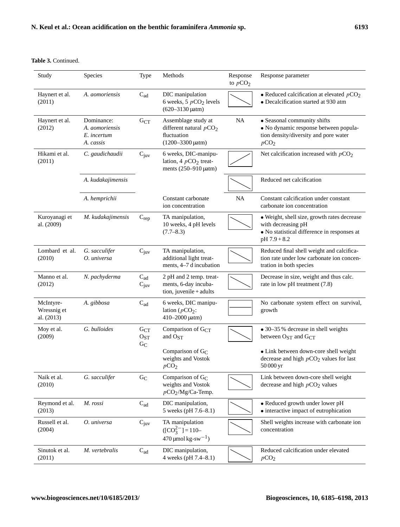# **Table 3.** Continued.

| Study                                  | Species                                                  | Type                                   | Methods                                                                                    | Response<br>to $pCO2$ | Response parameter                                                                                                                                        |
|----------------------------------------|----------------------------------------------------------|----------------------------------------|--------------------------------------------------------------------------------------------|-----------------------|-----------------------------------------------------------------------------------------------------------------------------------------------------------|
| Haynert et al.<br>(2011)               | A. aomoriensis                                           | $C_{ad}$                               | DIC manipulation<br>6 weeks, 5 $pCO2$ levels<br>$(620 - 3130 \mu atm)$                     |                       | • Reduced calcification at elevated $pCO2$<br>• Decalcification started at 930 atm                                                                        |
| Haynert et al.<br>(2012)               | Dominance:<br>A. aomoriensis<br>E. incertum<br>A. cassis | $G_{CT}$                               | Assemblage study at<br>different natural $pCO2$<br>fluctuation<br>$(1200 - 3300 \mu atm)$  | NA                    | • Seasonal community shifts<br>· No dynamic response between popula-<br>tion density/diversity and pore water<br>pCO <sub>2</sub>                         |
| Hikami et al.<br>(2011)                | C. gaudichaudii                                          | $C_{\text{juv}}$                       | 6 weeks, DIC-manipu-<br>lation, 4 $pCO2$ treat-<br>ments $(250-910 \mu atm)$               |                       | Net calcification increased with $pCO2$                                                                                                                   |
|                                        | A. kudakajimensis                                        |                                        |                                                                                            |                       | Reduced net calcification                                                                                                                                 |
|                                        | A. hemprichii                                            |                                        | Constant carbonate<br>ion concentration                                                    | NA                    | Constant calcification under constant<br>carbonate ion concentration                                                                                      |
| Kuroyanagi et<br>al. (2009)            | M. kudakajimensis                                        | $C_{\text{rep}}$                       | TA manipulation,<br>10 weeks, 4 pH levels<br>$(7.7 - 8.3)$                                 |                       | · Weight, shell size, growth rates decrease<br>with decreasing pH<br>• No statistical difference in responses at<br>$pH 7.9 + 8.2$                        |
| Lombard et al.<br>(2010)               | G. sacculifer<br>O. universa                             | $C_{\text{juv}}$                       | TA manipulation,<br>additional light treat-<br>ments, 4-7 d incubation                     |                       | Reduced final shell weight and calcifica-<br>tion rate under low carbonate ion concen-<br>tration in both species                                         |
| Manno et al.<br>(2012)                 | N. pachyderma                                            | $C_{ad}$<br>$C_{\text{juv}}$           | 2 pH and 2 temp. treat-<br>ments, 6-day incuba-<br>tion, juvenile + adults                 |                       | Decrease in size, weight and thus calc.<br>rate in low pH treatment (7.8)                                                                                 |
| McIntyre-<br>Wressnig et<br>al. (2013) | A. gibbosa                                               | $C_{ad}$                               | 6 weeks, DIC manipu-<br>lation ( $pCO_2$ :<br>410-2000 µatm)                               |                       | No carbonate system effect on survival,<br>growth                                                                                                         |
| Moy et al.<br>(2009)                   | G. bulloides                                             | $G_{CT}$<br>O <sub>ST</sub><br>$G_{C}$ | Comparison of $G_{CT}$<br>and O <sub>ST</sub><br>Comparison of $G_C$<br>weights and Vostok |                       | • 30-35 % decrease in shell weights<br>between $O_{ST}$ and $G_{CT}$<br>• Link between down-core shell weight<br>decrease and high $pCO2$ values for last |
| Naik et al.<br>(2010)                  | G. sacculifer                                            | ${\rm G}_{\rm C}$                      | pCO <sub>2</sub><br>Comparison of $G_C$<br>weights and Vostok<br>$pCO2/Mg/Ca-Temp.$        |                       | 50 000 yr<br>Link between down-core shell weight<br>decrease and high $pCO2$ values                                                                       |
| Reymond et al.<br>(2013)               | M. rossi                                                 | $C_{ad}$                               | DIC manipulation,<br>5 weeks (pH 7.6-8.1)                                                  |                       | • Reduced growth under lower pH<br>• interactive impact of eutrophication                                                                                 |
| Russell et al.<br>(2004)               | O. universa                                              | $C_{\text{juv}}$                       | TA manipulation<br>$[CO_3^{2-}] = 110-$<br>$470 \mu$ mol kg-sw <sup>-1</sup> )             |                       | Shell weights increase with carbonate ion<br>concentration                                                                                                |
| Sinutok et al.<br>(2011)               | M. vertebralis                                           | $C_{ad}$                               | DIC manipulation,<br>4 weeks (pH 7.4-8.1)                                                  |                       | Reduced calcification under elevated<br>pCO <sub>2</sub>                                                                                                  |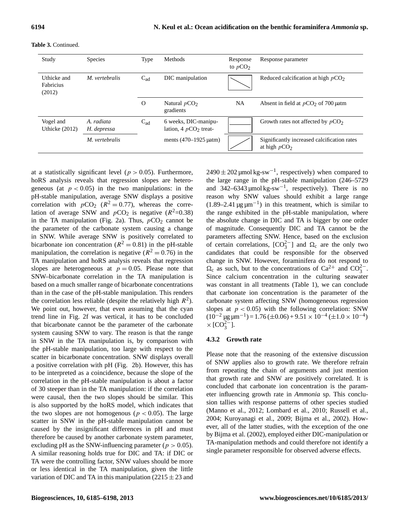| Study                              | <b>Species</b>            | Type     | Methods                                         | Response<br>to $pCO2$ | Response parameter                                            |
|------------------------------------|---------------------------|----------|-------------------------------------------------|-----------------------|---------------------------------------------------------------|
| Uthicke and<br>Fabricius<br>(2012) | M. vertebralis            | $C_{ad}$ | DIC manipulation                                |                       | Reduced calcification at high $pCO2$                          |
|                                    |                           | O        | Natural $pCO2$<br>gradients                     | NA                    | Absent in field at $pCO2$ of 700 µatm                         |
| Vogel and<br>Uthicke (2012)        | A. radiata<br>H. depressa | $C_{ad}$ | 6 weeks, DIC-manipu-<br>lation, 4 $pCO2$ treat- |                       | Growth rates not affected by $pCO2$                           |
|                                    | M. vertebralis            |          | ments $(470-1925 \mu atm)$                      |                       | Significantly increased calcification rates<br>at high $pCO2$ |

**Table 3.** Continued.

at a statistically significant level ( $p > 0.05$ ). Furthermore, hoRS analysis reveals that regression slopes are heterogeneous (at  $p < 0.05$ ) in the two manipulations: in the pH-stable manipulation, average SNW displays a positive correlation with  $pCO_2$  ( $R^2 = 0.77$ ), whereas the correlation of average SNW and  $pCO_2$  is negative ( $R^2$ =0.38) in the TA manipulation (Fig. [2a](#page-5-0)). Thus,  $pCO<sub>2</sub>$  cannot be the parameter of the carbonate system causing a change in SNW. While average SNW is positively correlated to bicarbonate ion concentration ( $R^2 = 0.81$ ) in the pH-stable manipulation, the correlation is negative ( $R^2 = 0.76$ ) in the TA manipulation and hoRS analysis reveals that regression slopes are heterogeneous at  $p = 0.05$ . Please note that SNW–bicarbonate correlation in the TA manipulation is based on a much smaller range of bicarbonate concentrations than in the case of the pH-stable manipulation. This renders the correlation less reliable (despite the relatively high  $R^2$ ). We point out, however, that even assuming that the cyan trend line in Fig. [2f](#page-5-0) was vertical, it has to be concluded that bicarbonate cannot be the parameter of the carbonate system causing SNW to vary. The reason is that the range in SNW in the TA manipulation is, by comparison with the pH-stable manipulation, too large with respect to the scatter in bicarbonate concentration. SNW displays overall a positive correlation with pH (Fig. [2b](#page-5-0)). However, this has to be interpreted as a coincidence, because the slope of the correlation in the pH-stable manipulation is about a factor of 30 steeper than in the TA manipulation: if the correlation were causal, then the two slopes should be similar. This is also supported by the hoRS model, which indicates that the two slopes are not homogenous ( $p < 0.05$ ). The large scatter in SNW in the pH-stable manipulation cannot be caused by the insignificant differences in pH and must therefore be caused by another carbonate system parameter, excluding pH as the SNW-influencing parameter ( $p > 0.05$ ). A similar reasoning holds true for DIC and TA: if DIC or TA were the controlling factor, SNW values should be more or less identical in the TA manipulation, given the little variation of DIC and TA in this manipulation ( $2215 \pm 23$  and

 $2490 \pm 202$  µmol kg-sw<sup>-1</sup>, respectively) when compared to the large range in the pH-stable manipulation (246–5729 and  $342-6343 \mu$ mol kg-sw<sup>-1</sup>, respectively). There is no reason why SNW values should exhibit a large range  $(1.89-2.41 \,\mu g \,\mu m^{-1})$  in this treatment, which is similar to the range exhibited in the pH-stable manipulation, where the absolute change in DIC and TA is bigger by one order of magnitude. Consequently DIC and TA cannot be the parameters affecting SNW. Hence, based on the exclusion of certain correlations,  $[CO_3^{2-}]$  and  $\Omega_c$  are the only two candidates that could be responsible for the observed change in SNW. However, foraminifera do not respond to  $\Omega_c$  as such, but to the concentrations of Ca<sup>2+</sup> and CO<sub>3</sub><sup>-</sup>. Since calcium concentration in the culturing seawater was constant in all treatments (Table 1), we can conclude that carbonate ion concentration is the parameter of the carbonate system affecting SNW (homogeneous regression slopes at  $p < 0.05$ ) with the following correlation: SNW  $(10^{-2} \,\text{µg}\,\text{µm}^{-1}) = 1.76 \,(\pm 0.06) + 9.51 \times 10^{-4} \,(\pm 1.0 \times 10^{-4})$  $\times$  [CO<sub>3</sub><sup>2</sup>–].

#### **4.3.2 Growth rate**

Please note that the reasoning of the extensive discussion of SNW applies also to growth rate. We therefore refrain from repeating the chain of arguments and just mention that growth rate and SNW are positively correlated. It is concluded that carbonate ion concentration is the parameter influencing growth rate in *Ammonia* sp. This conclusion tallies with response patterns of other species studied [\(Manno et al.,](#page-12-20) [2012;](#page-12-20) [Lombard et al.,](#page-12-21) [2010;](#page-12-21) [Russell et al.,](#page-12-22) [2004;](#page-12-22) [Kuroyanagi et al.,](#page-12-16) [2009;](#page-12-16) [Bijma et al.,](#page-11-14) [2002\)](#page-11-14). However, all of the latter studies, with the exception of the one by [Bijma et al.](#page-11-14) [\(2002\)](#page-11-14), employed either DIC-manipulation or TA-manipulation methods and could therefore not identify a single parameter responsible for observed adverse effects.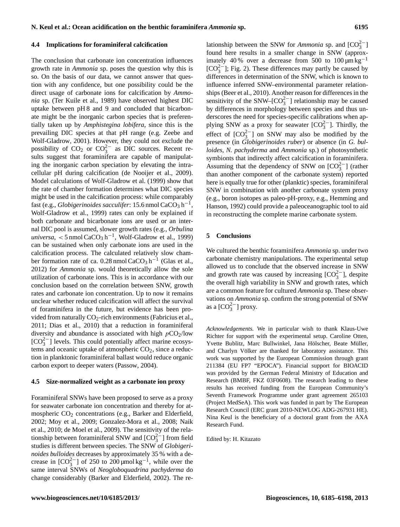#### **4.4 Implications for foraminiferal calcification**

The conclusion that carbonate ion concentration influences growth rate in *Ammonia* sp. poses the question why this is so. On the basis of our data, we cannot answer that question with any confidence, but one possibility could be the direct usage of carbonate ions for calcification by *Ammonia* sp. [\(Ter Kuile et al.,](#page-13-0) [1989\)](#page-13-0) have observed highest DIC uptake between pH 8 and 9 and concluded that bicarbonate might be the inorganic carbon species that is preferentially taken up by *Amphistegina lobifera*, since this is the prevailing DIC species at that pH range (e.g. [Zeebe and](#page-13-3) [Wolf-Gladrow,](#page-13-3) [2001\)](#page-13-3). However, they could not exclude the possibility of  $CO_2$  or  $CO_3^{2-}$  as DIC sources. Recent results suggest that foraminifera are capable of manipulating the inorganic carbon speciation by elevating the intracellular pH during calcification [\(de Nooijer et al.,](#page-11-15) [2009\)](#page-11-15). Model calculations of [Wolf-Gladrow et al.](#page-13-4) [\(1999\)](#page-13-4) show that the rate of chamber formation determines what DIC species might be used in the calcification process: while comparably fast (e.g., *Globigerinoides sacculifer*: 15.6 nmol CaCO<sub>3</sub> h<sup>-1</sup>, [Wolf-Gladrow et al.,](#page-13-4) [1999\)](#page-13-4) rates can only be explained if both carbonate and bicarbonate ions are used or an internal DIC pool is assumed, slower growth rates (e.g., *Orbulina*  $universal,$  < 5 nmol CaCO<sub>3</sub> h<sup>-1</sup>, [Wolf-Gladrow et al.,](#page-13-4) [1999\)](#page-13-4) can be sustained when only carbonate ions are used in the calcification process. The calculated relatively slow cham-ber formation rate of ca. 0.28 nmol CaCO<sub>3</sub> h<sup>-1</sup> [\(Glas et al.,](#page-11-9) [2012\)](#page-11-9) for *Ammonia* sp. would theoretically allow the sole utilization of carbonate ions. This is in accordance with our conclusion based on the correlation between SNW, growth rates and carbonate ion concentration. Up to now it remains unclear whether reduced calcification will affect the survival of foraminifera in the future, but evidence has been provided from naturally  $CO_2$ -rich environments [\(Fabricius et al.,](#page-11-16) [2011;](#page-11-16) [Dias et al.,](#page-11-17) [2010\)](#page-11-17) that a reduction in foraminiferal diversity and abundance is associated with high  $pCO<sub>2</sub>/low$ [CO<sub>3</sub><sup>2−</sup>] levels. This could potentially affect marine ecosystems and oceanic uptake of atmospheric  $CO<sub>2</sub>$ , since a reduction in planktonic foraminiferal ballast would reduce organic carbon export to deeper waters [\(Passow,](#page-12-23) [2004\)](#page-12-23).

#### **4.5 Size-normalized weight as a carbonate ion proxy**

Foraminiferal SNWs have been proposed to serve as a proxy for seawater carbonate ion concentration and thereby for at-mospheric CO<sub>2</sub> concentrations (e.g., [Barker and Elderfield,](#page-11-18) [2002;](#page-11-18) [Moy et al.,](#page-12-24) [2009;](#page-12-24) [Gonzalez-Mora et al.,](#page-11-19) [2008;](#page-11-19) [Naik](#page-12-25) [et al.,](#page-12-25) [2010;](#page-12-25) [de Moel et al.,](#page-11-20) [2009\)](#page-11-20). The sensitivity of the relationship between foraminiferal SNW and  $[CO_3^{2-}]$  from field studies is different between species. The SNW of *Globigerinoides bulloides* decreases by approximately 35 % with a decrease in  $[CO_3^{2-}]$  of 250 to 200 µmol kg<sup>-1</sup>, while over the same interval SNWs of *Neogloboquadrina pachyderma* do change considerably [\(Barker and Elderfield,](#page-11-18) [2002\)](#page-11-18). The re-

lationship between the SNW for *Ammonia* sp. and  $[CO_3^{2-}]$ found here results in a smaller change in SNW (approximately 40 % over a decrease from 500 to  $100 \mu m kg^{-1}$  $[CO<sub>3</sub><sup>2</sup>$ ]; Fig. [2\)](#page-5-0). These differences may partly be caused by differences in determination of the SNW, which is known to influence inferred SNW–environmental parameter relationships [\(Beer et al.,](#page-11-21) [2010\)](#page-11-21). Another reason for differences in the sensitivity of the SNW–[ $CO_3^{2-}$ ] relationship may be caused by differences in morphology between species and thus underscores the need for species-specific calibrations when applying SNW as a proxy for seawater  $[CO_3^{2-}]$ . Thirdly, the effect of  $[CO_3^{2-}]$  on SNW may also be modified by the presence (in *Globigerinoides ruber*) or absence (in *G. bulloides, N. pachyderma* and *Ammonia* sp.) of photosynthetic symbionts that indirectly affect calcification in foraminifera. Assuming that the dependency of SNW on  $[CO_3^{2-}]$  (rather than another component of the carbonate system) reported here is equally true for other (planktic) species, foraminiferal SNW in combination with another carbonate system proxy (e.g., boron isotopes as paleo-pH-proxy, e.g., [Hemming and](#page-11-22) [Hanson,](#page-11-22) [1992\)](#page-11-22) could provide a paleoceanographic tool to aid in reconstructing the complete marine carbonate system.

#### **5 Conclusions**

We cultured the benthic foraminifera *Ammonia* sp. under two carbonate chemistry manipulations. The experimental setup allowed us to conclude that the observed increase in SNW and growth rate was caused by increasing  $[CO<sub>3</sub><sup>2</sup>-]$ , despite the overall high variability in SNW and growth rates, which are a common feature for cultured *Ammonia* sp. These observations on *Ammonia* sp. confirm the strong potential of SNW as a  $[CO_3^{2-}]$  proxy.

*Acknowledgements.* We in particular wish to thank Klaus-Uwe Richter for support with the experimental setup. Caroline Otten, Yvette Bublitz, Marc Bullwinkel, Jana Hölscher, Beate Müller, and Charlyn Völker are thanked for laboratory assistance. This work was supported by the European Commission through grant 211384 (EU FP7 "EPOCA"). Financial support for BIOACID was provided by the German Federal Ministry of Education and Research (BMBF, FKZ 03F0608). The research leading to these results has received funding from the European Community's Seventh Framework Programme under grant agreement 265103 (Project MedSeA). This work was funded in part by The European Research Council (ERC grant 2010-NEWLOG ADG-267931 HE). Nina Keul is the beneficiary of a doctoral grant from the AXA Research Fund.

Edited by: H. Kitazato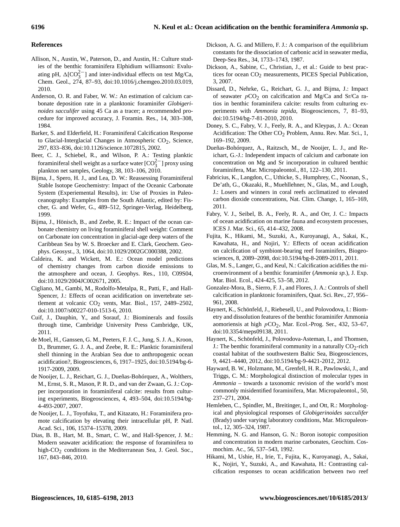# **References**

- Allison, N., Austin, W., Paterson, D., and Austin, H.: Culture studies of the benthic foraminifera Elphidium williamsoni: Evaluating pH,  $\Delta$ [CO<sub>2</sub><sup>-</sup>] and inter-individual effects on test Mg/Ca, Chem. Geol., 274, 87–93, doi[:10.1016/j.chemgeo.2010.03.019,](http://dx.doi.org/10.1016/j.chemgeo.2010.03.019) 2010.
- <span id="page-11-10"></span>Anderson, O. R. and Faber, W. W.: An estimation of calcium carbonate deposition rate in a planktonic foraminifer *Globigerinoides sacculifer* using 45 Ca as a tracer; a recommended procedure for improved accuracy, J. Foramin. Res., 14, 303–308, 1984.
- <span id="page-11-18"></span>Barker, S. and Elderfield, H.: Foraminiferal Calcification Response to Glacial-Interglacial Changes in Atmospheric  $CO<sub>2</sub>$ , Science, 297, 833–836, doi[:10.1126/science.1072815,](http://dx.doi.org/10.1126/science.1072815) 2002.
- <span id="page-11-21"></span>Beer, C. J., Schiebel, R., and Wilson, P. A.: Testing planktic foraminiferal shell weight as a surface water  $[CO_3^{2-}]$  proxy using plankton net samples, Geology, 38, 103–106, 2010.
- Bijma, J., Spero, H. J., and Lea, D. W.: Reassessing Foraminiferal Stable Isotope Geochemistry: Impact of the Oceanic Carbonate System (Experiemental Results), in: Use of Proxies in Paleoceanography: Examples from the South Atlantic, edited by: Fischer, G. and Wefer, G., 489–512, Springer-Verlag, Heidelberg, 1999.
- <span id="page-11-14"></span>Bijma, J., Hönisch, B., and Zeebe, R. E.: Impact of the ocean carbonate chemistry on living foraminiferal shell weight: Comment on Carbonate ion concentration in glacial-age deep waters of the Caribbean Sea by W. S. Broecker and E. Clark, Geochem. Geophys. Geosyst., 3, 1064, doi[:10.1029/2002GC000388,](http://dx.doi.org/10.1029/2002GC000388) 2002.
- <span id="page-11-1"></span>Caldeira, K. and Wickett, M. E.: Ocean model predictions of chemistry changes from carbon dioxide emissions to the atmosphere and ocean, J. Geophys. Res., 110, C09S04, doi[:10.1029/2004JC002671,](http://dx.doi.org/10.1029/2004JC002671) 2005.
- Cigliano, M., Gambi, M., Rodolfo-Metalpa, R., Patti, F., and Hall-Spencer, J.: Effects of ocean acidification on invertebrate settlement at volcanic  $CO<sub>2</sub>$  vents, Mar. Biol., 157, 2489–2502, doi[:10.1007/s00227-010-1513-6,](http://dx.doi.org/10.1007/s00227-010-1513-6) 2010.
- <span id="page-11-11"></span>Cuif, J., Dauphin, Y., and Sorauf, J.: Biominerals and fossils through time, Cambridge University Press Cambridge, UK, 2011.
- <span id="page-11-20"></span>de Moel, H., Ganssen, G. M., Peeters, F. J. C., Jung, S. J. A., Kroon, D., Brummer, G. J. A., and Zeebe, R. E.: Planktic foraminiferal shell thinning in the Arabian Sea due to anthropogenic ocean acidification?, Biogeosciences, 6, 1917–1925, doi[:10.5194/bg-6-](http://dx.doi.org/10.5194/bg-6-1917-2009) [1917-2009,](http://dx.doi.org/10.5194/bg-6-1917-2009) 2009.
- <span id="page-11-4"></span>de Nooijer, L. J., Reichart, G. J., Dueñas-Bohórquez, A., Wolthers, M., Ernst, S. R., Mason, P. R. D., and van der Zwaan, G. J.: Copper incorporation in foraminiferal calcite: results from culturing experiments, Biogeosciences, 4, 493–504, doi[:10.5194/bg-](http://dx.doi.org/10.5194/bg-4-493-2007)[4-493-2007,](http://dx.doi.org/10.5194/bg-4-493-2007) 2007.
- <span id="page-11-15"></span>de Nooijer, L. J., Toyofuku, T., and Kitazato, H.: Foraminifera promote calcification by elevating their intracellular pH, P. Natl. Acad. Sci., 106, 15374–15378, 2009.
- <span id="page-11-17"></span>Dias, B. B., Hart, M. B., Smart, C. W., and Hall-Spencer, J. M.: Modern seawater acidification: the response of foraminifera to high-CO2 conditions in the Mediterranean Sea, J. Geol. Soc., 167, 843–846, 2010.
- <span id="page-11-8"></span>Dickson, A. G. and Millero, F. J.: A comparison of the equilibrium constants for the dissociation of carbonic acid in seawater media, Deep-Sea Res., 34, 1733–1743, 1987.
- <span id="page-11-7"></span>Dickson, A., Sabine, C., Christian, J., et al.: Guide to best practices for ocean CO<sub>2</sub> measurements, PICES Special Publication, 3, 2007.
- <span id="page-11-5"></span>Dissard, D., Nehrke, G., Reichart, G. J., and Bijma, J.: Impact of seawater  $pCO<sub>2</sub>$  on calcification and Mg/Ca and Sr/Ca ratios in benthic foraminifera calcite: results from culturing experiments with *Ammonia tepida*, Biogeosciences, 7, 81–93, doi[:10.5194/bg-7-81-2010,](http://dx.doi.org/10.5194/bg-7-81-2010) 2010.
- <span id="page-11-2"></span>Doney, S. C., Fabry, V. J., Feely, R. A., and Kleypas, J. A.: Ocean Acidification: The Other CO<sub>2</sub> Problem, Annu. Rev. Mar. Sci., 1, 169–192, 2009.
- <span id="page-11-6"></span>Dueñas-Bohórquez, A., Raitzsch, M., de Nooijer, L. J., and Reichart, G.-J.: Independent impacts of calcium and carbonate ion concentration on Mg and Sr incorporation in cultured benthic foraminifera, Mar. Micropaleontol., 81, 122–130, 2011.
- <span id="page-11-16"></span>Fabricius, K., Langdon, C., Uthicke, S., Humphrey, C., Noonan, S., De'ath, G., Okazaki, R., Muehllehner, N., Glas, M., and Lough, J.: Losers and winners in coral reefs acclimatized to elevated carbon dioxide concentrations, Nat. Clim. Change, 1, 165–169, 2011.
- <span id="page-11-0"></span>Fabry, V. J., Seibel, B. A., Feely, R. A., and Orr, J. C.: Impacts of ocean acidification on marine fauna and ecosystem processes, ICES J. Mar. Sci., 65, 414–432, 2008.
- <span id="page-11-12"></span>Fujita, K., Hikami, M., Suzuki, A., Kuroyanagi, A., Sakai, K., Kawahata, H., and Nojiri, Y.: Effects of ocean acidification on calcification of symbiont-bearing reef foraminifers, Biogeosciences, 8, 2089–2098, doi[:10.5194/bg-8-2089-2011,](http://dx.doi.org/10.5194/bg-8-2089-2011) 2011.
- <span id="page-11-9"></span>Glas, M. S., Langer, G., and Keul, N.: Calcification acidifies the microenvironment of a benthic foraminifer (*Ammonia sp.*), J. Exp. Mar. Biol. Ecol., 424-425, 53–58, 2012.
- <span id="page-11-19"></span>Gonzalez-Mora, B., Sierro, F. J., and Flores, J. A.: Controls of shell calcification in planktonic foraminifers, Quat. Sci. Rev., 27, 956– 961, 2008.
- Haynert, K., Schönfeld, J., Riebesell, U., and Polovodova, I.: Biometry and dissolution features of the benthic foraminifer Ammonia aomoriensis at high  $pCO<sub>2</sub>$ , Mar. Ecol.-Prog. Ser., 432, 53–67, doi[:10.3354/meps09138,](http://dx.doi.org/10.3354/meps09138) 2011.
- Haynert, K., Schönfeld, J., Polovodova-Asteman, I., and Thomsen, J.: The benthic foraminiferal community in a naturally  $CO_2$ -rich coastal habitat of the southwestern Baltic Sea, Biogeosciences, 9, 4421–4440, 2012, doi[:10.5194/bg-9-4421-2012,](http://dx.doi.org/10.5194/bg-9-4421-2012) 2012.
- <span id="page-11-3"></span>Hayward, B. W., Holzmann, M., Grenfell, H. R., Pawlowski, J., and Triggs, C. M.: Morphological distinction of molecular types in *Ammonia* – towards a taxonomic revision of the world's most commonly misidentified foraminifera, Mar. Micropaleontol., 50, 237–271, 2004.
- <span id="page-11-13"></span>Hemleben, C., Spindler, M., Breitinger, I., and Ott, R.: Morphological and physiological responses of *Globigerinoides sacculifer* (Brady) under varying laboratory conditions, Mar. Micropaleontol., 12, 305–324, 1987.
- <span id="page-11-22"></span>Hemming, N. G. and Hanson, G. N.: Boron isotopic composition and concentration in modern marine carbonates, Geochim. Cosmochim. Ac., 56, 537–543, 1992.
- Hikami, M., Ushie, H., Irie, T., Fujita, K., Kuroyanagi, A., Sakai, K., Nojiri, Y., Suzuki, A., and Kawahata, H.: Contrasting calcification responses to ocean acidification between two reef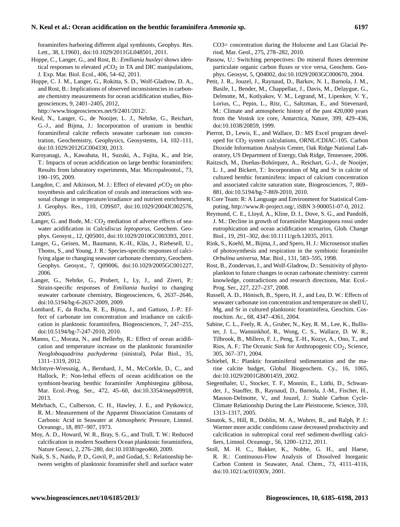foraminifers harboring different algal symbionts, Geophys. Res. Lett., 38, L19601, doi[:10.1029/2011GL048501,](http://dx.doi.org/10.1029/2011GL048501) 2011.

<span id="page-12-17"></span>Hoppe, C., Langer, G., and Rost, B.: *Emiliania huxleyi* shows identical responses to elevated  $pCO<sub>2</sub>$  in TA and DIC manipulations, J. Exp. Mar. Biol. Ecol., 406, 54–62, 2011.

<span id="page-12-10"></span>Hoppe, C. J. M., Langer, G., Rokitta, S. D., Wolf-Gladrow, D. A., and Rost, B.: Implications of observed inconsistencies in carbonate chemistry measurements for ocean acidification studies, Biogeosciences, 9, 2401–2405, 2012,

[http://www.biogeosciences.net/9/2401/2012/.](http://www.biogeosciences.net/9/2401/2012/)

- <span id="page-12-9"></span>Keul, N., Langer, G., de Nooijer, L. J., Nehrke, G., Reichart, G.-J., and Bijma, J.: Incorporation of uranium in benthic foraminiferal calcite reflects seawater carbonate ion concentration, Geochemistry, Geophysics, Geosystems, 14, 102–111, doi[:10.1029/2012GC004330,](http://dx.doi.org/10.1029/2012GC004330) 2013.
- <span id="page-12-16"></span>Kuroyanagi, A., Kawahata, H., Suzuki, A., Fujita, K., and Irie, T.: Impacts of ocean acidification on large benthic foraminifers: Results from laboratory experiments, Mar. Micropaleontol., 73, 190–195, 2009.
- <span id="page-12-3"></span>Langdon, C. and Atkinson, M. J.: Effect of elevated  $pCO<sub>2</sub>$  on photosynthesis and calcification of corals and interactions with seasonal change in temperature/irradiance and nutrient enrichment, J. Geophys. Res., 110, C09S07, doi[:10.1029/2004JC002576,](http://dx.doi.org/10.1029/2004JC002576) 2005.
- <span id="page-12-6"></span>Langer, G. and Bode, M.:  $CO<sub>2</sub>$  mediation of adverse effects of seawater acidification in *Calcidiscus leptoporus*, Geochem. Geophys. Geosyst., 12, Q05001, doi[:10.1029/2010GC003393,](http://dx.doi.org/10.1029/2010GC003393) 2011.
- <span id="page-12-4"></span>Langer, G., Geisen, M., Baumann, K.-H., Kläs, J., Riebesell, U., Thoms, S., and Young, J. R.: Species-specific responses of calcifying algae to changing seawater carbonate chemistry, Geochem. Geophys. Geosyst., 7, Q09006, doi[:10.1029/2005GC001227,](http://dx.doi.org/10.1029/2005GC001227) 2006.
- <span id="page-12-5"></span>Langer, G., Nehrke, G., Probert, I., Ly, J., and Ziveri, P.: Strain-specific responses of *Emiliania huxleyi* to changing seawater carbonate chemistry, Biogeosciences, 6, 2637–2646, doi[:10.5194/bg-6-2637-2009,](http://dx.doi.org/10.5194/bg-6-2637-2009) 2009.
- <span id="page-12-21"></span>Lombard, F., da Rocha, R. E., Bijma, J., and Gattuso, J.-P.: Effect of carbonate ion concentration and irradiance on calcification in planktonic foraminifera, Biogeosciences, 7, 247–255, doi[:10.5194/bg-7-247-2010,](http://dx.doi.org/10.5194/bg-7-247-2010) 2010.
- <span id="page-12-20"></span>Manno, C., Morata, N., and Bellerby, R.: Effect of ocean acidification and temperature increase on the planktonic foraminifer *Neogloboquadrina pachyderma* (sinistral), Polar Biol., 35, 1311–1319, 2012.
- McIntyre-Wressnig, A., Bernhard, J., M., McCorkle, D., C., and Hallock, P.: Non-lethal effects of ocean acidification on the symbiont-bearing benthic foraminifer Amphistegina gibbosa, Mar. Ecol.-Prog. Ser., 472, 45–60, doi[:10.3354/meps09918,](http://dx.doi.org/10.3354/meps09918) 2013.
- <span id="page-12-13"></span>Mehrbach, C., Culberson, C. H., Hawley, J. E., and Pytkowicz, R. M.: Measurement of the Apparent Dissociation Constants of Carbonic Acid in Seawater at Atmospheric Pressure, Limnol. Oceanogr., 18, 897–907, 1973.
- <span id="page-12-24"></span>Moy, A. D., Howard, W. R., Bray, S. G., and Trull, T. W.: Reduced calcification in modern Southern Ocean planktonic foraminifera, Nature Geosci, 2, 276–280, doi[:10.1038/ngeo460,](http://dx.doi.org/10.1038/ngeo460) 2009.
- <span id="page-12-25"></span>Naik, S. S., Naidu, P. D., Govil, P., and Godad, S.: Relationship between weights of planktonic foraminifer shell and surface water

CO3= concentration during the Holocene and Last Glacial Period, Mar. Geol., 275, 278–282, 2010.

- <span id="page-12-23"></span>Passow, U.: Switching perspectives: Do mineral fluxes determine particulate organic carbon fluxes or vice versa, Geochem. Geophys. Geosyst, 5, Q04002, doi[:10.1029/2003GC000670,](http://dx.doi.org/10.1029/2003GC000670) 2004.
- <span id="page-12-0"></span>Petit, J. R., Jouzel, J., Raynaud, D., Barkov, N. I., Barnola, J. M., Basile, I., Bender, M., Chappellaz, J., Davis, M., Delaygue, G., Delmotte, M., Kotlyakov, V. M., Legrand, M., Lipenkov, V. Y., Lorius, C., Pepin, L., Ritz, C., Saltzman, E., and Stievenard, M.: Climate and atmospheric history of the past 420,000 years from the Vostok ice core, Antarctica, Nature, 399, 429–436, doi[:10.1038/20859,](http://dx.doi.org/10.1038/20859) 1999.
- <span id="page-12-12"></span>Pierrot, D., Lewis, E., and Wallace, D.: MS Excel program developed for  $CO<sub>2</sub>$  system calculations, ORNL/CDIAC-105. Carbon Dioxide Information Analysis Center, Oak Ridge National Laboratory, US Department of Energy, Oak Ridge, Tennessee, 2006.
- <span id="page-12-8"></span>Raitzsch, M., Dueñas-Bohórquez, A., Reichart, G.-J., de Nooijer, L. J., and Bickert, T.: Incorporation of Mg and Sr in calcite of cultured benthic foraminifera: impact of calcium concentration and associated calcite saturation state, Biogeosciences, 7, 869– 881, doi[:10.5194/bg-7-869-2010,](http://dx.doi.org/10.5194/bg-7-869-2010) 2010.
- <span id="page-12-14"></span>R Core Team: R: A Language and Environment for Statistical Computing, [http://www.R-project.org/,](http://www.R-project.org/) iSBN 3-900051-07-0, 2012.
- Reymond, C. E., Lloyd, A., Kline, D. I., Dove, S. G., and Pandolfi, J. M.: Decline in growth of foraminifer Marginopora rossi under eutrophication and ocean acidification scenarios, Glob. Change Biol., 19, 291–302, doi[:10.1111/gcb.12035,](http://dx.doi.org/10.1111/gcb.12035) 2013.
- <span id="page-12-18"></span>Rink, S., Koehl, M., Bijma, J., and Spero, H. J.: Microsensor studies of photosynthesis and respiration in the symbiotic foraminifer *Orbulina universa*, Mar. Biol., 131, 583–595, 1998.
- <span id="page-12-19"></span>Rost, B., Zondervan, I., and Wolf-Gladrow, D.: Sensitivity of phytoplankton to future changes in ocean carbonate chemistry: current knowledge, contradictions and research directions, Mar. Ecol.- Prog. Ser., 227, 227–237, 2008.
- <span id="page-12-22"></span>Russell, A. D., Hönisch, B., Spero, H. J., and Lea, D. W.: Effects of seawater carbonate ion concentration and temperature on shell U, Mg, and Sr in cultured planktonic foraminifera, Geochim. Cosmochim. Ac., 68, 4347–4361, 2004.
- <span id="page-12-2"></span>Sabine, C. L., Feely, R. A., Gruber, N., Key, R. M., Lee, K., Bullister, J. L., Wanninkhof, R., Wong, C. S., Wallace, D. W. R., Tilbrook, B., Millero, F. J., Peng, T.-H., Kozyr, A., Ono, T., and Rios, A. F.: The Oceanic Sink for Anthropogenic  $CO<sub>2</sub>$ , Science, 305, 367–371, 2004.
- <span id="page-12-7"></span>Schiebel, R.: Planktic foraminiferal sedimentation and the marine calcite budget, Global Biogeochem. Cy., 16, 1065, doi[:10.1029/2001GB001459,](http://dx.doi.org/10.1029/2001GB001459) 2002.
- <span id="page-12-1"></span>Siegenthaler, U., Stocker, T. F., Monnin, E., Lüthi, D., Schwander, J., Stauffer, B., Raynaud, D., Barnola, J.-M., Fischer, H., Masson-Delmotte, V., and Jouzel, J.: Stable Carbon Cycle-Climate Relationship During the Late Pleistocene, Science, 310, 1313–1317, 2005.
- <span id="page-12-15"></span>Sinutok, S., Hill, R., Doblin, M. A., Wuhrer, R., and Ralph, P. J.: Warmer more acidic conditions cause decreased productivity and calcification in subtropical coral reef sediment-dwelling calcifiers, Limnol. Oceanogr., 56, 1200–1212, 2011.
- <span id="page-12-11"></span>Stoll, M. H. C., Bakker, K., Nobbe, G. H., and Haese, R. R.: Continuous-Flow Analysis of Dissolved Inorganic Carbon Content in Seawater, Anal. Chem., 73, 4111–4116, doi[:10.1021/ac010303r,](http://dx.doi.org/10.1021/ac010303r) 2001.